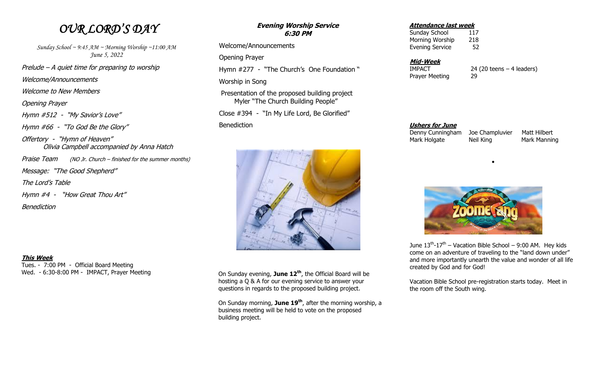## *OUR LORD'S DAY*

*Sunday School ~ 9:45 AM ~ Morning Worship ~11:00 AM June 5, 2022* Prelude – A quiet time for preparing to worship Welcome/Announcements

Welcome to New Members

Opening Prayer

Hymn #512 - "My Savior's Love"

Hymn #66 - "To God Be the Glory"

Offertory - "Hymn of Heaven" Olivia Campbell accompanied by Anna Hatch

Praise Team (NO Jr. Church – finished for the summer months)

Message: "The Good Shepherd"

The Lord's Table

Hymn #4 - "How Great Thou Art"

**Benediction** 

### **This Week**

Tues. - 7:00 PM - Official Board Meeting Wed. - 6:30-8:00 PM - IMPACT, Prayer Meeting

### **Evening Worship Service 6:30 PM**

Welcome/Announcements

Opening Prayer

Hymn #277 - "The Church's One Foundation "

Worship in Song

 Presentation of the proposed building project Myler "The Church Building People"

Close #394 - "In My Life Lord, Be Glorified"

**Benediction** 



 On Sunday evening, **June 12th**, the Official Board will be hosting a Q & A for our evening service to answer your questions in regards to the proposed building project.

 On Sunday morning, **June 19th**, after the morning worship, a business meeting will be held to vote on the proposed building project.

### **Attendance last week**

Sunday School 117 Morning Worship 218 Evening Service 52

### **Mid-Week**

Prayer Meeting 29

IMPACT 24 (20 teens – 4 leaders)

 **Ushers for June** Denny Cunningham Joe Champluvier Matt Hilbert Mark Holgate Neil King Mark Manning





June  $13^{th}$ - $17^{th}$  – Vacation Bible School – 9:00 AM. Hey kids come on an adventure of traveling to the "land down under" and more importantly unearth the value and wonder of all life created by God and for God!

 Vacation Bible School pre-registration starts today. Meet in the room off the South wing.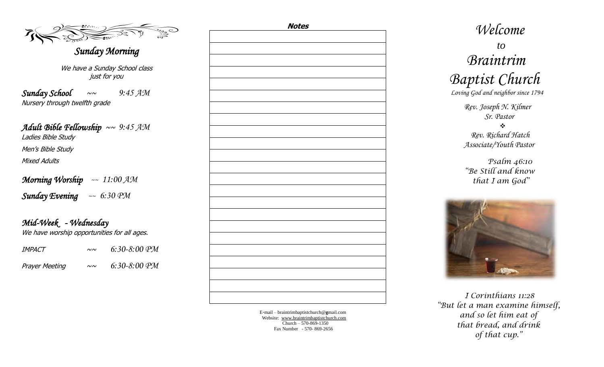### *Sunday Morning*

We have a Sunday School class just for you

*Sunday School* ~~ *9:45 AM* Nursery through twelfth grade

*Adult Bible Fellowship* ~~ *9:45 AM*  Ladies Bible Study Men's Bible Study Mixed Adults

*Morning Worship ~~ 11:00 AM Sunday Evening ~~ 6:30 PM*

*Mid-Week - Wednesday*  We have worship opportunities for all ages.

| <i>IMPACT</i>  | $\sim$       | $6:30-8:00$ PM |
|----------------|--------------|----------------|
| Prayer Meeting | $\sim\!\sim$ | $6:30-8:00$ PM |

| <u>Notes</u> |  |  |  |  |
|--------------|--|--|--|--|
|              |  |  |  |  |
|              |  |  |  |  |
|              |  |  |  |  |
|              |  |  |  |  |
|              |  |  |  |  |
|              |  |  |  |  |
|              |  |  |  |  |
|              |  |  |  |  |
|              |  |  |  |  |
|              |  |  |  |  |
|              |  |  |  |  |
|              |  |  |  |  |
|              |  |  |  |  |
|              |  |  |  |  |
|              |  |  |  |  |
|              |  |  |  |  |
|              |  |  |  |  |
|              |  |  |  |  |
|              |  |  |  |  |
|              |  |  |  |  |
|              |  |  |  |  |
|              |  |  |  |  |
|              |  |  |  |  |
|              |  |  |  |  |
|              |  |  |  |  |
|              |  |  |  |  |
|              |  |  |  |  |
|              |  |  |  |  |
|              |  |  |  |  |
|              |  |  |  |  |
|              |  |  |  |  |
|              |  |  |  |  |
|              |  |  |  |  |
|              |  |  |  |  |
|              |  |  |  |  |
|              |  |  |  |  |
|              |  |  |  |  |
|              |  |  |  |  |
|              |  |  |  |  |

E -mail – braintrimbaptistchurch@ **g**mail.com Website: [www.braintrimbaptistchurch.com](http://www.braintrimbaptistchurch.org/) Church – 570 -869 -1350 Fax Number - 570 - 869 -2656

# *Welcome to Braintrim Baptist Church Loving God and neighbor since 1794*

 *Rev. Joseph N. Kilmer Sr. Pastor* 

 *Rev. Richard Hatch Associate/Youth Pastor*

 *Psalm 46:10 "Be Still and know that I am God"* 



 *I Corinthians 11:28 "But let a man examine himself, and so let him eat of that bread, and drink of that cup."*